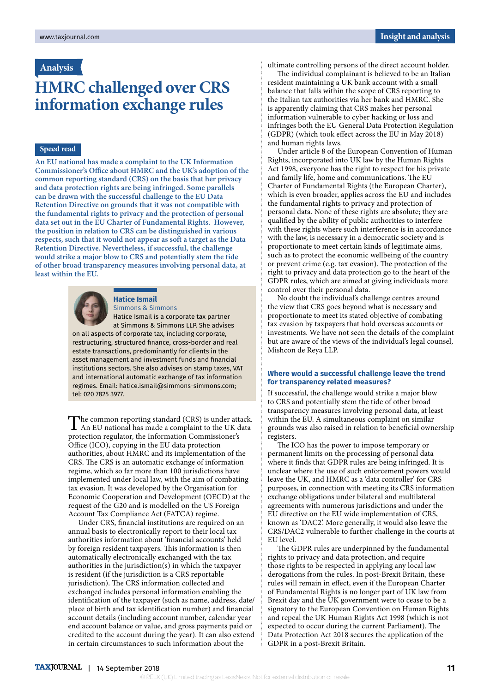## **Analysis**

# **HMRC challenged over CRS information exchange rules**

### **Speed read**

**An EU national has made a complaint to the UK Information Commissioner's Office about HMRC and the UK's adoption of the common reporting standard (CRS) on the basis that her privacy and data protection rights are being infringed. Some parallels can be drawn with the successful challenge to the EU Data Retention Directive on grounds that it was not compatible with the fundamental rights to privacy and the protection of personal data set out in the EU Charter of Fundamental Rights. However, the position in relation to CRS can be distinguished in various respects, such that it would not appear as soft a target as the Data Retention Directive. Nevertheless, if successful, the challenge would strike a major blow to CRS and potentially stem the tide of other broad transparency measures involving personal data, at least within the EU.**



#### **Hatice Ismail**

Simmons & Simmons

Hatice Ismail is a corporate tax partner at Simmons & Simmons LLP. She advises on all aspects of corporate tax, including corporate, restructuring, structured finance, cross-border and real

estate transactions, predominantly for clients in the asset management and investment funds and financial institutions sectors. She also advises on stamp taxes, VAT and international automatic exchange of tax information regimes. Email: hatice.ismail@simmons-simmons.com; tel: 020 7825 3977.

The common reporting standard (CRS) is under attack.<br>An EU national has made a complaint to the UK data protection regulator, the Information Commissioner's Office (ICO), copying in the EU data protection authorities, about HMRC and its implementation of the CRS. The CRS is an automatic exchange of information regime, which so far more than 100 jurisdictions have implemented under local law, with the aim of combating tax evasion. It was developed by the Organisation for Economic Cooperation and Development (OECD) at the request of the G20 and is modelled on the US Foreign Account Tax Compliance Act (FATCA) regime.

Under CRS, financial institutions are required on an annual basis to electronically report to their local tax authorities information about 'financial accounts' held by foreign resident taxpayers. This information is then automatically electronically exchanged with the tax authorities in the jurisdiction(s) in which the taxpayer is resident (if the jurisdiction is a CRS reportable jurisdiction). The CRS information collected and exchanged includes personal information enabling the identification of the taxpayer (such as name, address, date/ place of birth and tax identification number) and financial account details (including account number, calendar year end account balance or value, and gross payments paid or credited to the account during the year). It can also extend in certain circumstances to such information about the

ultimate controlling persons of the direct account holder.

The individual complainant is believed to be an Italian resident maintaining a UK bank account with a small balance that falls within the scope of CRS reporting to the Italian tax authorities via her bank and HMRC. She is apparently claiming that CRS makes her personal information vulnerable to cyber hacking or loss and infringes both the EU General Data Protection Regulation (GDPR) (which took effect across the EU in May 2018) and human rights laws.

Under article 8 of the European Convention of Human Rights, incorporated into UK law by the Human Rights Act 1998, everyone has the right to respect for his private and family life, home and communications. The EU Charter of Fundamental Rights (the European Charter), which is even broader, applies across the EU and includes the fundamental rights to privacy and protection of personal data. None of these rights are absolute; they are qualified by the ability of public authorities to interfere with these rights where such interference is in accordance with the law, is necessary in a democratic society and is proportionate to meet certain kinds of legitimate aims, such as to protect the economic wellbeing of the country or prevent crime (e.g. tax evasion). The protection of the right to privacy and data protection go to the heart of the GDPR rules, which are aimed at giving individuals more control over their personal data.

No doubt the individual's challenge centres around the view that CRS goes beyond what is necessary and proportionate to meet its stated objective of combating tax evasion by taxpayers that hold overseas accounts or investments. We have not seen the details of the complaint but are aware of the views of the individual's legal counsel, Mishcon de Reya LLP.

#### **Where would a successful challenge leave the trend for transparency related measures?**

If successful, the challenge would strike a major blow to CRS and potentially stem the tide of other broad transparency measures involving personal data, at least within the EU. A simultaneous complaint on similar grounds was also raised in relation to beneficial ownership registers.

The ICO has the power to impose temporary or permanent limits on the processing of personal data where it finds that GDPR rules are being infringed. It is unclear where the use of such enforcement powers would leave the UK, and HMRC as a 'data controller' for CRS purposes, in connection with meeting its CRS information exchange obligations under bilateral and multilateral agreements with numerous jurisdictions and under the EU directive on the EU wide implementation of CRS, known as 'DAC2'. More generally, it would also leave the CRS/DAC2 vulnerable to further challenge in the courts at EU level.

The GDPR rules are underpinned by the fundamental rights to privacy and data protection, and require those rights to be respected in applying any local law derogations from the rules. In post-Brexit Britain, these rules will remain in effect, even if the European Charter of Fundamental Rights is no longer part of UK law from Brexit day and the UK government were to cease to be a signatory to the European Convention on Human Rights and repeal the UK Human Rights Act 1998 (which is not expected to occur during the current Parliament). The Data Protection Act 2018 secures the application of the GDPR in a post-Brexit Britain.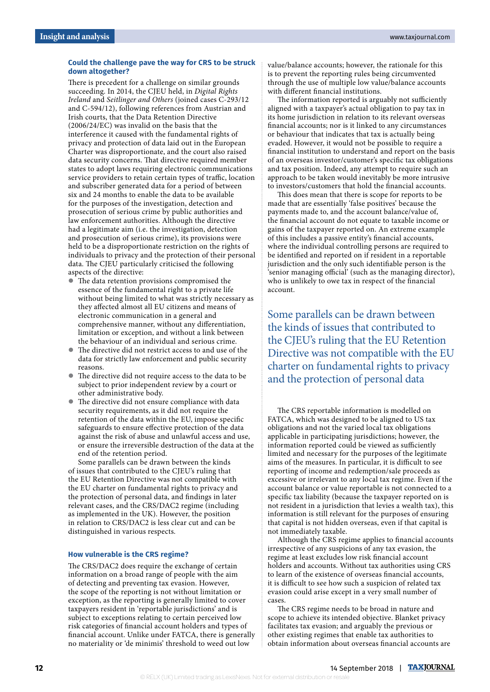#### **Could the challenge pave the way for CRS to be struck down altogether?**

There is precedent for a challenge on similar grounds succeeding. In 2014, the CJEU held, in *Digital Rights Ireland* and *Seitlinger and Others* (joined cases C-293/12 and C-594/12), following references from Austrian and Irish courts, that the Data Retention Directive (2006/24/EC) was invalid on the basis that the interference it caused with the fundamental rights of privacy and protection of data laid out in the European Charter was disproportionate, and the court also raised data security concerns. That directive required member states to adopt laws requiring electronic communications service providers to retain certain types of traffic, location and subscriber generated data for a period of between six and 24 months to enable the data to be available for the purposes of the investigation, detection and prosecution of serious crime by public authorities and law enforcement authorities. Although the directive had a legitimate aim (i.e. the investigation, detection and prosecution of serious crime), its provisions were held to be a disproportionate restriction on the rights of individuals to privacy and the protection of their personal data. The CJEU particularly criticised the following aspects of the directive:

- $\bullet$  The data retention provisions compromised the essence of the fundamental right to a private life without being limited to what was strictly necessary as they affected almost all EU citizens and means of electronic communication in a general and comprehensive manner, without any differentiation, limitation or exception, and without a link between the behaviour of an individual and serious crime.
- The directive did not restrict access to and use of the data for strictly law enforcement and public security reasons.
- The directive did not require access to the data to be subject to prior independent review by a court or other administrative body.
- $\bullet$  The directive did not ensure compliance with data security requirements, as it did not require the retention of the data within the EU, impose specific safeguards to ensure effective protection of the data against the risk of abuse and unlawful access and use, or ensure the irreversible destruction of the data at the end of the retention period.

Some parallels can be drawn between the kinds of issues that contributed to the CJEU's ruling that the EU Retention Directive was not compatible with the EU charter on fundamental rights to privacy and the protection of personal data, and findings in later relevant cases, and the CRS/DAC2 regime (including as implemented in the UK). However, the position in relation to CRS/DAC2 is less clear cut and can be distinguished in various respects.

#### **How vulnerable is the CRS regime?**

The CRS/DAC2 does require the exchange of certain information on a broad range of people with the aim of detecting and preventing tax evasion. However, the scope of the reporting is not without limitation or exception, as the reporting is generally limited to cover taxpayers resident in 'reportable jurisdictions' and is subject to exceptions relating to certain perceived low risk categories of financial account holders and types of financial account. Unlike under FATCA, there is generally no materiality or 'de minimis' threshold to weed out low

value/balance accounts; however, the rationale for this is to prevent the reporting rules being circumvented through the use of multiple low value/balance accounts with different financial institutions.

The information reported is arguably not sufficiently aligned with a taxpayer's actual obligation to pay tax in its home jurisdiction in relation to its relevant overseas financial accounts; nor is it linked to any circumstances or behaviour that indicates that tax is actually being evaded. However, it would not be possible to require a financial institution to understand and report on the basis of an overseas investor/customer's specific tax obligations and tax position. Indeed, any attempt to require such an approach to be taken would inevitably be more intrusive to investors/customers that hold the financial accounts.

This does mean that there is scope for reports to be made that are essentially 'false positives' because the payments made to, and the account balance/value of, the financial account do not equate to taxable income or gains of the taxpayer reported on. An extreme example of this includes a passive entity's financial accounts, where the individual controlling persons are required to be identified and reported on if resident in a reportable jurisdiction and the only such identifiable person is the 'senior managing official' (such as the managing director), who is unlikely to owe tax in respect of the financial account.

Some parallels can be drawn between the kinds of issues that contributed to the CJEU's ruling that the EU Retention Directive was not compatible with the EU charter on fundamental rights to privacy and the protection of personal data

The CRS reportable information is modelled on FATCA, which was designed to be aligned to US tax obligations and not the varied local tax obligations applicable in participating jurisdictions; however, the information reported could be viewed as sufficiently limited and necessary for the purposes of the legitimate aims of the measures. In particular, it is difficult to see reporting of income and redemption/sale proceeds as excessive or irrelevant to any local tax regime. Even if the account balance or value reportable is not connected to a specific tax liability (because the taxpayer reported on is not resident in a jurisdiction that levies a wealth tax), this information is still relevant for the purposes of ensuring that capital is not hidden overseas, even if that capital is not immediately taxable.

Although the CRS regime applies to financial accounts irrespective of any suspicions of any tax evasion, the regime at least excludes low risk financial account holders and accounts. Without tax authorities using CRS to learn of the existence of overseas financial accounts, it is difficult to see how such a suspicion of related tax evasion could arise except in a very small number of cases.

The CRS regime needs to be broad in nature and scope to achieve its intended objective. Blanket privacy facilitates tax evasion; and arguably the previous or other existing regimes that enable tax authorities to obtain information about overseas financial accounts are